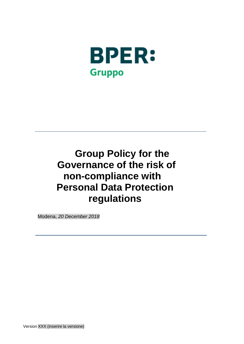

# **Group Policy for the Governance of the risk of non-compliance with Personal Data Protection regulations**

Modena, *20 December 2018*

Version XXX (inserire la versione)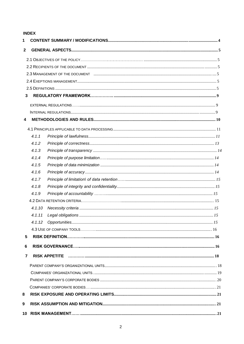# **INDEX**

| 1            |        |  |  |  |  |  |  |
|--------------|--------|--|--|--|--|--|--|
| $\mathbf{2}$ |        |  |  |  |  |  |  |
|              |        |  |  |  |  |  |  |
|              |        |  |  |  |  |  |  |
|              |        |  |  |  |  |  |  |
|              |        |  |  |  |  |  |  |
|              |        |  |  |  |  |  |  |
| 3            |        |  |  |  |  |  |  |
|              |        |  |  |  |  |  |  |
|              |        |  |  |  |  |  |  |
| 4            |        |  |  |  |  |  |  |
|              |        |  |  |  |  |  |  |
|              | 4.1.1  |  |  |  |  |  |  |
|              | 4.1.2  |  |  |  |  |  |  |
|              | 4.1.3  |  |  |  |  |  |  |
|              | 4.1.4  |  |  |  |  |  |  |
|              | 4.1.5  |  |  |  |  |  |  |
|              | 4.1.6  |  |  |  |  |  |  |
|              | 4.1.7  |  |  |  |  |  |  |
|              | 4.1.8  |  |  |  |  |  |  |
|              | 4.1.9  |  |  |  |  |  |  |
|              |        |  |  |  |  |  |  |
|              | 4.1.10 |  |  |  |  |  |  |
|              | 4.1.11 |  |  |  |  |  |  |
|              |        |  |  |  |  |  |  |
|              |        |  |  |  |  |  |  |
| 5            |        |  |  |  |  |  |  |
| 6            |        |  |  |  |  |  |  |
| 7            |        |  |  |  |  |  |  |
|              |        |  |  |  |  |  |  |
|              |        |  |  |  |  |  |  |
|              |        |  |  |  |  |  |  |
|              |        |  |  |  |  |  |  |
| 8            |        |  |  |  |  |  |  |
| 9            |        |  |  |  |  |  |  |
|              |        |  |  |  |  |  |  |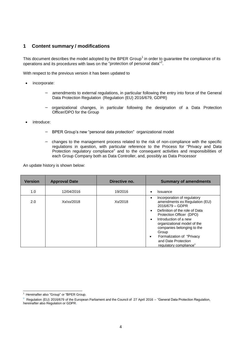# **1 Content summary / modifications**

This document describes the model adopted by the BPER Group<sup>1</sup> in order to guarantee the compliance of its operations and its procedures with laws on the "protection of personal data"<sup>2</sup>.

With respect to the previous version it has been updated to

- incorporate:
	- − amendments to external regulations, in particular following the entry into force of the General Data Protection Regulation (Regulation (EU) 2016/679, GDPR)
	- − organizational changes, in particular following the designation of a Data Protection Officer/DPO for the Group
- introduce:
	- − BPER Group's new "personal data protection" organizational model
	- − changes to the management process related to the risk of non-compliance with the specific regulations in question, with particular reference to the Process for "Privacy and Data Protection regulatory compliance" and to the consequent activities and responsibilities of each Group Company both as Data Controller, and, possibly as Data Processor

An update history is shown below:

| <b>Version</b> | <b>Approval Date</b> | Directive no. | <b>Summary of amendments</b>                                                                                                                                                                                                                                                                                                                                       |
|----------------|----------------------|---------------|--------------------------------------------------------------------------------------------------------------------------------------------------------------------------------------------------------------------------------------------------------------------------------------------------------------------------------------------------------------------|
| 1.0            | 12/04/2016           | 19/2016       | Issuance<br>٠                                                                                                                                                                                                                                                                                                                                                      |
| 2.0            | Xx/xx/2018           | Xx/2018       | Incorporation of regulatory<br>amendments ex Regulation (EU)<br>2016/679 - GDPR<br>Definition of the role of Data<br>$\bullet$<br>Protection Officer (DPO)<br>Introduction of a new<br>$\bullet$<br>organizational model of the<br>companies belonging to the<br>Group<br>Formalization of "Privacy"<br>$\bullet$<br>and Date Protection<br>regulatory compliance" |

Hereinafter also "Group" or "BPER Group.

 $2$  Regulation (EU) 2016/679 of the European Parliament and the Council of 27 April 2016 – "General Data Protection Regulation, hereinafter also Regulation or GDPR.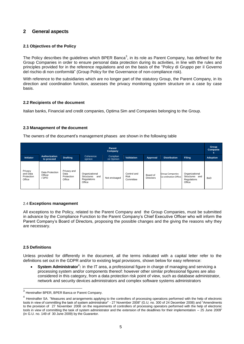# **2 General aspects**

# **2.1 Objectives of the Policy**

The Policy describes the guidelines which BPER Banca<sup>3</sup>, in its role as Parent Company, has defined for the Group Companies in order to ensure personal data protection during its activities, in line with the rules and principles provided for in the reference regulations and on the basis of the "Policy di Gruppo per il Governo del rischio di non conformità" (Group Policy for the Governance of non-compliance risk).

With reference to the subsidiaries which are no longer part of the statutory Group, the Parent Company, in its direction and coordination function, assesses the privacy monitoring system structure on a case by case basis.

# **2.2 Recipients of the document**

Italian banks, Financial and credit companies, Optima Sim and Companies belonging to the Group.

# **2.3 Management of the document**

The owners of the document's management phases are shown in the following table

| Parent<br><b>Company</b>                    |                                    |                                             |                                                              |                        |                                  | Group<br>Companie<br>s. |                                                |                                                           |                 |
|---------------------------------------------|------------------------------------|---------------------------------------------|--------------------------------------------------------------|------------------------|----------------------------------|-------------------------|------------------------------------------------|-----------------------------------------------------------|-----------------|
| <b>Initiator</b>                            | Authorization<br>to proceed        | <b>Drafting</b>                             | Coherence<br>opinion                                         | Complian<br>ce Opinion | <b>Validation</b>                | Approval                | <b>Distribution</b>                            | <b>Filing</b>                                             | <b>Adoption</b> |
| Privacy<br>and Data<br>Protection<br>Office | Data Protection<br>Officer<br>/DPO | Privacy and<br>Data<br>Protection<br>Office | Organizational<br>Structures<br>and<br>Regulations<br>Office | Not envisaged          | Control and<br>Risk<br>Committee | Board of<br>Directors   | <b>Group Companies</b><br>Co-ordination Office | Organizational<br>Structures and<br>Regulations<br>Office | <b>BoD</b>      |

# 2.4 **Exceptions management**

All exceptions to the Policy, related to the Parent Company and the Group Companies, must be submitted in advance by the Compliance Function to the Parent Company's Chief Executive Officer who will inform the Parent Company's Board of Directors, proposing the possible changes and the giving the reasons why they are necessary.

# **2.5 Definitions**

Unless provided for differently in the document, all the terms indicated with a capital letter refer to the definitions set out in the GDPR and/or to existing legal provisions, shown below for easy reference:

• System Administrator<sup>4</sup>: in the IT area, a professional figure in charge of managing and servicing a processing system and/or components thereof: however other similar professional figures are also considered in this category, from a data protection risk point of view, such as database administrator, network and security devices administrators and complex software systems administrators

 $3$  Hereinafter BPER, BPER Banca or Parent Company.

<sup>&</sup>lt;sup>4</sup> Hereinafter SA. "Measures and arrangements applying to the controllers of processing operations performed with the help of electronic tools in view of committing the task of system administrator" - 27 November 2008" (G.U. no. 300 of 24 December 2008) and "Amendments to the provision of 27 November 2008 on the requirements of controllers of processing operators performed with the help of electronic tools in view of committing the task of system administrator and the extension of the deadlines for their implementation – 25 June 2009" (in G.U. no. 149 of 30 June 2009) by the Guarantor.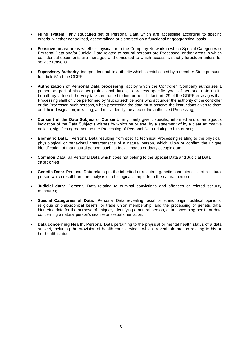- **Filing system:** any structured set of Personal Data which are accessible according to specific criteria, whether centralized, decentralized or dispersed on a functional or geographical basis.
- **Sensitive areas:** areas whether physical or in the Company Network in which Special Categories of Personal Data and/or Judicial Data related to natural persons are Processed; and/or areas in which confidential documents are managed and consulted to which access is strictly forbidden unless for service reasons.
- **Supervisory Authority:** independent public authority which is established by a member State pursuant to article 51 of the GDPR;
- **Authorization of Personal Data processing**: act by which the Controller /Company authorizes a person, as part of his or her professional duties, to process specific types of personal data on its behalf, by virtue of the very tasks entrusted to him or her. In fact art. 29 of the GDPR envisages that Processing shall only be performed by "authorized" persons who act under the authority of the controller or the Processor; such persons, when processing the data must observe the instructions given to them and their designation, in writing, and must identify the area of the authorized Processing;
- **Consent of the Data Subject** or **Consent**: any freely given, specific, informed and unambiguous indication of the Data Subject's wishes by which he or she, by a statement of by a clear affirmative actions, signifies agreement to the Processing of Personal Data relating to him or her;
- **Biometric Data:** Personal Data resulting from specific technical Processing relating to the physical, physiological or behavioral characteristics of a natural person, which allow or confirm the unique identification of that natural person, such as facial images or dactyloscopic data;
- **Common Data:** all Personal Data which does not belong to the Special Data and Judicial Data categories;
- **Genetic Data:** Personal Data relating to the inherited or acquired genetic characteristics of a natural person which result from the analysis of a biological sample from the natural person;
- **Judicial data:** Personal Data relating to criminal convictions and offences or related security measures;
- **Special Categories of Data:** Personal Data revealing racial or ethnic origin, political opinions, religious or philosophical beliefs, or trade union membership, and the processing of genetic data, biometric data for the purpose of uniquely identifying a natural person, data concerning health or data concerning a natural person's sex life or sexual orientation;
- **Data concerning Health:** Personal Data pertaining to the physical or mental health status of a data subject, including the provision of health care services, which reveal information relating to his or her health status;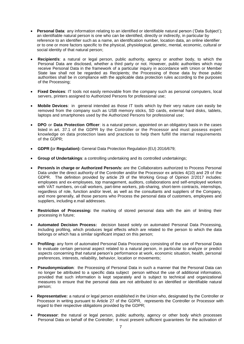- **Personal Data**: any information relating to an identified or identifiable natural person ('Data Subject'); an identifiable natural person is one who can be identified, directly or indirectly, in particular by reference to an identifier such as a name, an identification number, location data, an online identifier or to one or more factors specific to the physical, physiological, genetic, mental, economic, cultural or social identity of that natural person;
- **Recipient/s**: a natural or legal person, public authority, agency or another body, to which the Personal Data are disclosed, whether a third party or not. However, public authorities which may receive Personal Data in the framework of a particular inquiry in accordance with Union or Member State law shall not be regarded as Recipients; the Processing of those data by those public authorities shall be in compliance with the applicable data protection rules according to the purposes of the Processing;
- **Fixed Devices**: IT tools not easily removable from the company such as personal computers, local servers, printers assigned to Authorized Persons for professional use;
- **Mobile Devices**: in general intended as those IT tools which by their very nature can easily be removed from the company such as USB memory sticks, SD cards, external hard disks, tablets, laptops and smartphones used by the Authorized Persons for professional use;
- **DPO** or **Data Protection Officer**: is a natural person, appointed on an obligatory basis in the cases listed in art. 37.1 of the GDPR by the Controller or the Processor and must possess expert knowledge on data protection laws and practices to help them fulfill the internal requirements of the GDPR;
- **GDPR (**or **Regulation):** General Data Protection Regulation (EU) 2016/679;
- **Group of Undertakings**: a controlling undertaking and its controlled undertakings;
- **Person/s in charge or Authorized Person/s:** are the Collaborators authorized to Process Personal Data under the direct authority of the Controller and/or the Processor ex articles 4(10) and 29 of the GDPR. The definition provided by article 29 of the Working Group of Opinion 2/2017 includes: employees and ex-employees, top management, auditors, collaborations and self-employed workers with VAT numbers, on-call workers, part-time workers, job-sharing, short-term contracts, internships, regardless of role, function and/or level, as well as the consultants and suppliers of the Company, and more generally, all those persons who Process the personal data of customers, employees and suppliers, including e.mail addresses.
- **Restriction of Processing:** the marking of stored personal data with the aim of limiting their processing in future;
- **Automated Decision Process:** decision based solely on automated Personal Data Processing, including profiling, which produces legal effects which are related to the person to which the data belongs or which has a similar significant impact on this person;
- **Profiling:** any form of automated Personal Data Processing consisting of the use of Personal Data to evaluate certain personal aspect related to a natural person, in particular to analyze or predict aspects concerning that natural person's performance at work, economic situation, health, personal preferences, interests, reliability, behavior, location or movements;
- **Pseudonymization**: the Processing of Personal Data in such a manner that the Personal Data can no longer be attributed to a specific data subject person without the use of additional information, provided that such information is kept separately and is subject to technical and organizational measures to ensure that the personal data are not attributed to an identified or identifiable natural person;
- **Representative:** a natural or legal person established in the Union who, designated by the Controller or Processor in writing pursuant to Article 27 of the GDPR, represents the Controller or Processor with regard to their respective obligations provided by the GDPR;
- **Processor**: the natural or legal person, public authority, agency or other body which processes Personal Data on behalf of the Controller; it must present sufficient guarantees for the activation of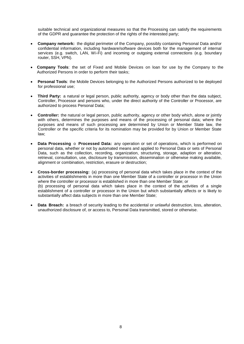suitable technical and organizational measures so that the Processing can satisfy the requirements of the GDPR and guarantee the protection of the rights of the interested party;

- **Company network:** the digital perimeter of the Company, possibly containing Personal Data and/or confidential information, including hardware/software devices both for the management of internal services (e.g. switch, LAN, Wi-Fi) and incoming or outgoing external connections (e.g. boundary router, SSH, VPN).
- **Company Tools**: the set of Fixed and Mobile Devices on loan for use by the Company to the Authorized Persons in order to perform their tasks;
- **Personal Tools**: the Mobile Devices belonging to the Authorized Persons authorized to be deployed for professional use;
- **Third Party:** a natural or legal person, public authority, agency or body other than the data subject, Controller, Processor and persons who, under the direct authority of the Controller or Processor, are authorized to process Personal Data;
- **Controller:** the natural or legal person, public authority, agency or other body which, alone or jointly with others, determines the purposes and means of the processing of personal data; where the purposes and means of such processing are determined by Union or Member State law, the Controller or the specific criteria for its nomination may be provided for by Union or Member State law;
- **Data Processing** o **Processed Data:** any operation or set of operations, which is performed on personal data, whether or not by automated means and applied to Personal Data or sets of Personal Data, such as the collection, recording, organization, structuring, storage, adaption or alteration, retrieval, consultation, use, disclosure by transmission, dissemination or otherwise making available, alignment or combination, restriction, erasure or destruction;
- **Cross-border processing:** (a) processing of personal data which takes place in the context of the activities of establishments in more than one Member State of a controller or processor in the Union where the controller or processor is established in more than one Member State; or (b) processing of personal data which takes place in the context of the activities of a single establishment of a controller or processor in the Union but which substantially affects or is likely to substantially affect data subjects in more than one Member State;
- **Data Breach:** a breach of security leading to the accidental or unlawful destruction, loss, alteration, unauthorized disclosure of, or access to, Personal Data transmitted, stored or otherwise.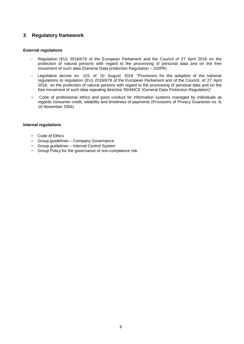# **3 Regulatory framework**

# **External regulations**

- Regulation (EU) 2016/679 of the European Parliament and the Council of 27 April 2016 on the protection of natural persons with regard to the processing of personal data and on the free movement of such data (General Data protection Regulation – GDPR)
- Legislative decree no. 101 of 10 August 2018 "Provisions for the adaption of the national regulations to regulation (EU) 2016/679 of the European Parliament and of the Council, of 27 April 2016, on the protection of natural persons with regard to the processing of personal data and on the free movement of such data repealing directive 95/46/CE (General Data Protection Regulation)"
- − Code of professional ethics and good conduct for information systems managed by individuals as regards consumer credit, reliability and timeliness of payments (Provisions of Privacy Guarantor no. 8, 16 November 2004)

# **Internal regulations**

- − Code of Ethics
- − Group guidelines Company Governance
- − Group guidelines Internal Control System
- − Group Policy for the governance of non-compliance risk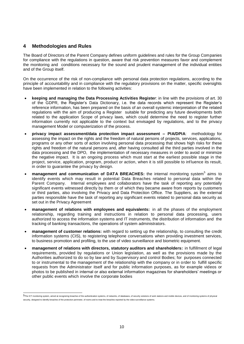# **4 Methodologies and Rules**

The Board of Directors of the Parent Company defines uniform guidelines and rules for the Group Companies for compliance with the regulations in question, aware that risk prevention measures favor and complement the monitoring and conditions necessary for the sound and prudent management of the individual entities and of the Group itself.

On the occurrence of the risk of non-compliance with personal data protection regulations, according to the principle of accountability and in compliance with the regulatory provisions on the matter, specific oversights have been implemented in relation to the following activities:

- **keeping and managing the Data Processing Activities Register**: in line with the provisions of art. 30 of the GDPR, the Register's Data Dictionary, i.e. the data records which represent the Register's reference information, has been prepared on the basis of an overall systemic interpretation of the related regulations with the aim of producing a Register suitable for predicting any future developments both related to the application Scope of privacy laws, which could determine the need to register further information currently not applicable to the context but envisaged by regulations, and to the privacy management Model or computerization of the process.
- **privacy impact assessment/data protection impact assessment – PIA/DPIA**: methodology for assessing the impact on the rights and the freedom of natural persons of projects, services, applications, programs or any other sorts of action involving personal data processing that shows high risks for these rights and freedom of the natural persons and, after having consulted all the third parties involved in the data processing and the DPO, the implementation of necessary measures in order to avoid or minimize the negative impact. It is an ongoing process which must start at the earliest possible stage in the project, service, application, program, product or action, when it is still possible to influence its result, in order to guarantee the privacy by design.
- management and communication of DATA BREACHES: the internal monitoring system<sup>5</sup> aims to identify events which may result in potential Data Breaches related to personal data within the Parent Company. Internal employees and collaborators have the task of reporting any potentially significant events witnessed directly by them or of which they became aware from reports by customers or third parties, also involving the Privacy and Data Protection Office. The Suppliers, as the external parties responsible have the task of reporting any significant events related to personal data security as set out in the Privacy Agreement
- **management of relations with employees and equivalents:** in all the phases of the employment relationship, regarding training and instructions in relation to personal data processing, users authorized to access the information systems and IT instruments, the distribution of information and the tracking of banking transactions, the operations of system administrators.
- **management of customer relations:** with regard to setting up the relationship, to consulting the credit information systems (CIS), to registering telephone conversations when providing investment services, to business promotion and profiling, to the use of video surveillance and biometric equipment.
- **management of relations with directors, statutory auditors and shareholders:** in fulfillment of legal requirements, provided by regulations or Union legislation, as well as the provisions made by the Authorities authorized to do so by law and by Supervisory and control Bodies; for purposes connected to or instrumental to the management of the relationship with the company or in order to fulfill specific requests from the Administrator itself and for public information purposes, as for example videos or photos to be published in internal or also external information magazines for shareholders' meetings or other public events which involve the corporate bodies

<sup>5</sup>The ICT monitoring system, aimed at recognizing breaches of the authentication systems, of networks, of databases, of security solutions of work stations and mobile devices, and of monitoring systems of physical security, designed to identify breaches of the protection perimeter, of rooms and to treat the breaches reported by the video-surveillance systems.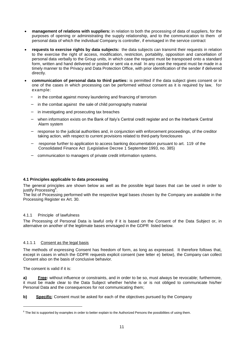- **management of relations with suppliers:** in relation to both the processing of data of suppliers, for the purposes of opening or administrating the supply relationship, and to the communication to them of personal data of which the individual Company is controller, if envisaged in the service contract
- **requests to exercise rights by data subjects:** the data subjects can transmit their requests in relation to the exercise the right of access, modification, restriction, portability, opposition and cancellation of personal data verbally to the Group units, in which case the request must be transposed onto a standard form, written and hand delivered or posted or sent via e.mail In any case the request must be made in a timely manner to the Privacy and Data Protection Office, with prior identification of the sender if delivered directly.
- **communication of personal data to third parties:** is permitted if the data subject gives consent or in one of the cases in which processing can be performed without consent as it is required by law, for example:
	- in the combat against money laundering and financing of terrorism
	- − in the combat against the sale of child pornography material
	- in investigating and prosecuting tax breaches
	- − when information exists on the Bank of Italy's Central credit register and on the Interbank Central Alarm system
	- − response to the judicial authorities and, in conjunction with enforcement proceedings, of the creditor taking action, with respect to current provisions related to third-party foreclosures
	- − response further to application to access banking documentation pursuant to art. 119 of the Consolidated Finance Act (Legislative Decree 1 September 1993, no. 385)
	- − communication to managers of private credit information systems.

# **4.1 Principles applicable to data processing**

The general principles are shown below as well as the possible legal bases that can be used in order to justify Processing<sup>6</sup>.

The list of Processing performed with the respective legal bases chosen by the Company are available in the Processing Register ex Art. 30.

# 4.1.1 Principle of lawfulness

The Processing of Personal Data is lawful only if it is based on the Consent of the Data Subject or, in alternative on another of the legitimate bases envisaged in the GDPR listed below.

# 4.1.1.1 Consent as the legal basis

The methods of expressing Consent has freedom of form, as long as expressed. It therefore follows that, except in cases in which the GDPR requests explicit consent (see letter e) below), the Company can collect Consent also on the basis of conclusive behavior.

The consent is valid if it is:

**a) Free:** without influence or constraints, and in order to be so, must always be revocable; furthermore, it must be made clear to the Data Subject whether he/she is or is not obliged to communicate his/her Personal Data and the consequences for not communicating them;

**b)** Specific: Consent must be asked for each of the objectives pursued by the Company

 $6$  The list is supported by examples in order to better explain to the Authorized Persons the possibilities of using them.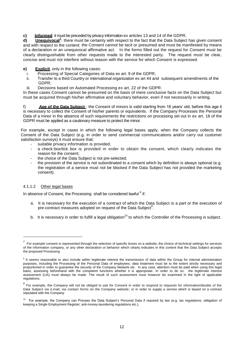**c) Informed**: it must be preceded by privacy information ex articles 13 and 14 of the GDPR;

d) **Unequivocal<sup>7</sup>**: there must be certainty with respect to the fact that the Data Subject has given consent and with respect to the content: the Consent cannot be tacit or presumed and must be manifested by means of a declaration or an unequivocal affirmative act. In the forms filled out the request for Consent must be clearly distinguishable from other requests made to the interested party. The request must be clear, concise and must not interfere without reason with the service for which Consent is expressed.

- **e)** Explicit, only in the following cases:
	- i. Processing of Special Categories of Data ex art. 9 of the GDPR;<br>ii. Transfer to a third Country or international organization ex art 44 an
	- Transfer to a third Country or international organization ex art 44 and subsequent amendments of the GDPR;
	- iii. Decisions based on Automated Processing ex art. 22 of the GDPR.

In these cases Consent cannot be presumed on the basis of mere conclusive facts on the Data Subject but must be acquired through his/her affirmative and voluntary behavior, even if not necessarily in writing.

f) **Age of the Data Subject** : the Consent of minors is valid starting from 16 years' old; before this age it is necessary to collect the Consent of his/her parents or equivalents. If the Company Processes the Personal Data of a minor in the absence of such requirements the restrictions on processing set out in ex art. 18 of the GDPR must be applied as a cautionary measure to protect the minor.

For example, except in cases in which the following legal bases apply, when the Company collects the Consent of the Data Subject (e.g. in order to send commercial communications and/or carry out customer satisfaction surveys) it must ensure that:

- suitable privacy information is provided;
- a check-box/tick box is provided in order to obtain the consent, which clearly indicates the reason for the consent;
- the choice of the Data Subject is not pre-selected;
- the provision of the service is not subordinated to a consent which by definition is always optional (e.g. the registration of a service must not be blocked if the Data Subject has not provided the marketing consent).

# 4.1.1.2 Other legal bases

In absence of Consent, the Processing shall be considered lawful <sup>8</sup> if:

- a. It is necessary for the execution of a contract of which the Data Subject is a part or the execution of pre-contract measures adopted on request of the Data Subject<sup>9</sup>.
- b. It is necessary in order to fulfill a legal obligation<sup>10</sup> to which the Controller of the Processing is subject.

 $7$  For example consent is represented through the selection of specific boxes on a website, the choice of technical settings for services of the information company, or any other declaration or behavior which clearly indicates in this context that the Data Subject accepts the proposed Processing

<sup>&</sup>lt;sup>8</sup> It seems reasonable to also include within legitimate interest the transmission of data within the Group for internal administration purposes, including the Processing of the Personal Data of employees; data treatment must be to the extent strictly necessary and proportioned in order to guarantee the security of the Company Network etc. In any case, attention must be paid when using this legal basis, assessing beforehand with the competent functions whether it is appropriate. In order to do so, the legitimate interest assessment (LIA) must always be made. The result of such assessment must however be examined in the light of applicable regulations.

<sup>&</sup>lt;sup>9</sup> For example, the Company will not be obliged to ask for Consent in order to respond to requests for information/doubts of the Data Subject via e.mail; via contact forms on the Company website; or in order to supply a service which is based on a contract stipulated with the Company

<sup>&</sup>lt;sup>10</sup> For example, the Company can Process the Data Subject's Personal Data if required by law (e.g. tax regulations; obligation of keeping a Single Employment Register; anti-money-laundering regulations etc.).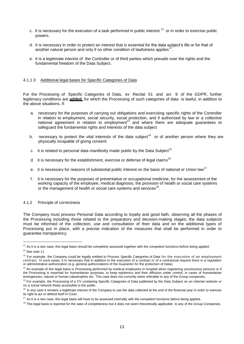- c. It is necessary for the execution of a task performed in public interest  $11$  or in order to exercise public powers.
- d. It is necessary in order to protect an interest that is essential for the data subject's life or for that of another natural person and only if no other condition of lawfulness applies<sup>1</sup> .
- e. It is a legitimate interest of the Controller or of third parties which prevails over the rights and the fundamental freedom of the Data Subject.

# 4.1.1.3 Additional legal bases for Specific Categories of Data

For the Processing of Specific Categories of Data, ex Recital 51 and art. 9 of the GDPR, further legitimacy conditions are **added,** for which the Processing of such categories of data is lawful, in addition to the above situations, if:

- a. necessary for the purposes of carrying out obligations and exercising specific rights of the Controller in relation to employment, social security, social protection, and if authorized by law or a collective national agreement in relation to employment<sup>13</sup> and where there are adequate guarantees to safeguard the fundamental rights and interests of the data subject
- b. necessary to protect the vital interests of the data subject<sup>14</sup> or of another person where they are physically incapable of giving consent
- c. it is related to personal data manifestly made public by the Data Subject<sup>15</sup>
- d. it is necessary for the establishment, exercise or defense of legal claims<sup>16</sup>
- e. it is necessary for reasons of substantial public interest on the basis of national or Union law<sup>17</sup>
- f. it is necessary for the purposes of preventative or occupational medicine, for the assessment of the working capacity of the employee, medical diagnosis, the provision of health or social care systems or the management of health or social care systems and services<sup>18</sup>.

# 4.1.2 Principle of correctness

The Company must process Personal Data according to loyalty and good faith, observing all the phases of the Processing including those related to the preparatory and decision-making stages; the data subjects must be informed of the collection, use and consultation of their data and on the additional types of Processing put in place, with a precise indication of the measures that shall be performed in order to guarantee transparency.

<sup>&</sup>lt;sup>11</sup> As it is a rare case, this legal basis should be completely assessed together with the competent functions before being applied <sup>12</sup> See note 11

<sup>&</sup>lt;sup>13</sup> For example, the Company could be legally entitled to Process Specific Categories of Data for the execution of an employment contract. In such cases, it is necessary that in addition to the execution of a contract or of a contractual request there is a regulation or administrative authorization (e.g. general authorizations of the Guarantor for the protection of Data).

<sup>&</sup>lt;sup>14</sup> An example of this legal basis is Processing performed by medical employees in hospital when registering unconscious persons or if the Processing is essential for humanitarian purposes, to keep epidemics and their diffusion under control, in cases of humanitarian emergencies, natural or human catastrophes etc. This case does not currently seem referable to any of the Group companies.

<sup>&</sup>lt;sup>15</sup> For example, the Processing of a CV containing Specific Categories of Data published by the Data Subject on an Internet website or on a social network freely accessible to the public.

<sup>&</sup>lt;sup>16</sup> In any case it remains a legitimate interest of the Company to use the data collected at the end of the financial year in order to exercise its right to act or defend itself in Court.

 $17$  As it is a rare case, this legal basis will have to be assessed internally with the competent functions before being applied.

<sup>&</sup>lt;sup>18</sup> This legal basis is reported for the sake of completeness but it does not seem theoretically applicable to any of the Group Companies.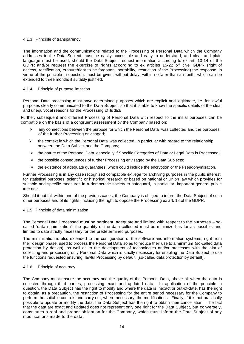# 4.1.3 Principle of transparency

The information and the communications related to the Processing of Personal Data which the Company addresses to the Data Subject must be easily accessible and easy to understand, and clear and plain language must be used; should the Data Subject request information according to ex art. 13-14 of the GDPR and/or request the exercise of rights according to ex articles 15-22 of the GDPR (right of access, rectification, erasure/right to be forgotten, portability, restriction of the Processing) the response, in virtue of the principle in question, must be given, without delay, within no later than a month, which can be extended to three months if suitably justified.

# 4.1.4 Principle of purpose limitation

Personal Data processing must have determined purposes which are explicit and legitimate, i.e. for lawful purposes clearly communicated to the Data Subject so that it is able to know the specific details of the clear and unequivocal reasons for the Processing of its data.

Further, subsequent and different Processing of Personal Data with respect to the initial purposes can be compatible on the basis of a congruent assessment by the Company based on:

- $\triangleright$  any connections between the purpose for which the Personal Data was collected and the purposes of the further Processing envisaged;
- $\triangleright$  the context in which the Personal Data was collected, in particular with regard to the relationship between the Data Subject and the Company;
- $\triangleright$  the nature of the Personal Data, especially if Specific Categories of Data or Legal Data is Processed;
- $\triangleright$  the possible consequences of further Processing envisaged by the Data Subjects;
- $\triangleright$  the existence of adequate guarantees, which could include the encryption or the Pseudonymisation.

Further Processing is in any case recognized compatible *ex lege* for archiving purposes in the public interest, for statistical purposes, scientific or historical research or based on national or Union law which provides for suitable and specific measures in a democratic society to safeguard, in particular, important general public interests.

Should it not fall within one of the previous cases, the Company is obliged to inform the Data Subject of such other purposes and of its rights, including the right to oppose the Processing ex art. 18 of the GDPR.

# 4.1.5 Principle of data minimization

The Personal Data Processed must be pertinent, adequate and limited with respect to the purposes – socalled "data minimization"; the quantity of the data collected must be minimized as far as possible, and limited to data strictly necessary for the predetermined purposes.

The minimization is also extended to the configuration of the software and information systems, right from their design phase, used to process the Personal Data so as to reduce their use to a minimum (so-called data protection by design); as well as to the development of technologies and/or processes with the aim of collecting and processing only Personal Data which is strictly necessary for enabling the Data Subject to use the functions requested ensuring lawful Processing by default (so-called data protection by default).

# 4.1.6 Principle of accuracy

The Company must ensure the accuracy and the quality of the Personal Data, above all when the data is collected through third parties, processing exact and updated data. In application of the principle in question, the Data Subject has the right to modify and where the data is inexact or out-of-date, has the right to obtain, as a precaution, the restriction of Processing for the entire period necessary for the Company to perform the suitable controls and carry out, where necessary, the modifications. Finally, if it is not practically possible to update or modify the data, the Data Subject has the right to obtain their cancellation. The fact that the data are exact and updated does not represent only one right for the Data Subject, but conversely, constitutes a real and proper obligation for the Company, which must inform the Data Subject of any modifications made to the data.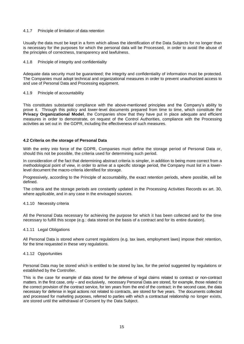# 4.1.7 Principle of limitation of data retention

Usually the data must be kept in a form which allows the identification of the Data Subjects for no longer than is necessary for the purposes for which the personal data will be Processed, in order to avoid the abuse of the principles of correctness, transparency and lawfulness.

# 4.1.8 Principle of integrity and confidentiality

Adequate data security must be guaranteed; the integrity and confidentiality of information must be protected. The Companies must adopt technical and organizational measures in order to prevent unauthorized access to and use of Personal Data and Processing equipment.

## 4.1.9 Principle of accountability

This constitutes substantial compliance with the above-mentioned principles and the Company's ability to prove it. Through this policy and lower-level documents prepared from time to time, which constitute the **Privacy Organizational Model**, the Companies show that they have put in place adequate and efficient measures in order to demonstrate, on request of the Control Authorities, compliance with the Processing activities as set out in the GDPR, including the effectiveness of such measures.

# **4.2 Criteria on the storage of Personal Data**

With the entry into force of the GDPR, Companies must define the storage period of Personal Data or, should this not be possible, the criteria used for determining such period.

In consideration of the fact that determining abstract criteria is simpler, in addition to being more correct from a methodological point of view, in order to arrive at a specific storage period, the Company must list in a lowerlevel document the macro-criteria identified for storage.

Progressively, according to the Principle of accountability, the exact retention periods, where possible, will be defined.

The criteria and the storage periods are constantly updated in the Processing Activities Records ex art. 30, where applicable, and in any case in the envisaged sources.

#### 4.1.10 Necessity criteria

All the Personal Data necessary for achieving the purpose for which it has been collected and for the time necessary to fulfill this scope (e.g.: data stored on the basis of a contract and for its entire duration).

#### 4.1.11 Legal Obligations

All Personal Data is stored where current regulations (e.g. tax laws, employment laws) impose their retention, for the time requested in these very regulations.

# 4.1.12 Opportunities

Personal Data may be stored which is entitled to be stored by law, for the period suggested by regulations or established by the Controller.

This is the case for example of data stored for the defense of legal claims related to contract or non-contract matters. In the first case, only – and exclusively, necessary Personal Data are stored, for example, those related to the correct provision of the contract service, for ten years from the end of the contract; in the second case, the data necessary for defense in legal actions not related to contracts, are stored for five years. The documents collected and processed for marketing purposes, referred to parties with which a contractual relationship no longer exists, are stored until the withdrawal of Consent by the Data Subject.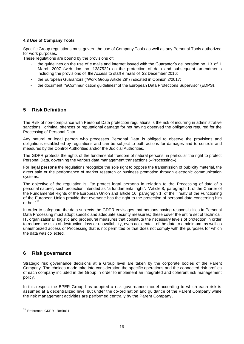# **4.3 Use of Company Tools**

Specific Group regulations must govern the use of Company Tools as well as any Personal Tools authorized for work purposes.

These regulations are bound by the provisions of:

- the guidelines on the use of e.mails and internet issued with the Guarantor's deliberation no. 13 of 1 March 2007 (web doc. no. 1387522) on the protection of data and subsequent amendments including the provisions of the Access to staff e.mails of 22 December 2016;
- the European Guarantors ("Work Group Article 29") indicated in Opinion 2/2017;
- the document "eCommunication quidelines" of the European Data Protections Supervisor (EDPS).

# **5 Risk Definition**

The Risk of non-compliance with Personal Data protection regulations is the risk of incurring in administrative sanctions, criminal offences or reputational damage for not having observed the obligations required for the Processing of Personal Data.

Any natural or legal person who processes Personal Data is obliged to observe the provisions and obligations established by regulations and can be subject to both actions for damages and to controls and measures by the Control Authorities and/or the Judicial Authorities.

The GDPR protects the rights of the fundamental freedom of natural persons, in particular the right to protect Personal Data, governing the various data management transactions («Processing»).

For **legal persons** the regulations recognize the sole right to oppose the transmission of publicity material, the direct sale or the performance of market research or business promotion through electronic communication systems.

The objective of the regulation is "to protect legal persons in relation to the Processing of data of a personal nature", such protection intended as "a fundamental right". "Article 8, paragraph 1, of the Charter of the Fundamental Rights of the European Union and article 16, paragraph 1, of the Treaty of the Functioning of the European Union provide that everyone has the right to the protection of personal data concerning him or her."<sup>19</sup>

In order to safeguard the data subjects the GDPR envisages that persons having responsibilities in Personal Data Processing must adopt specific and adequate security measures; these cover the entire set of technical, IT, organizational, logistic and procedural measures that constitute the necessary levels of protection in order to reduce the risks of destruction, loss or unavailability, even accidental, of the data to a minimum, as well as unauthorized access or Processing that is not permitted or that does not comply with the purposes for which the data was collected.

# **6 Risk governance**

Strategic risk governance decisions at a Group level are taken by the corporate bodies of the Parent Company. The choices made take into consideration the specific operations and the connected risk profiles of each company included in the Group in order to implement an integrated and coherent risk management policy.

In this respect the BPER Group has adopted a risk governance model according to which each risk is assumed at a decentralized level but under the co-ordination and guidance of the Parent Company while the risk management activities are performed centrally by the Parent Company.

<sup>19</sup> Reference: GDPR - Recital <sup>1</sup>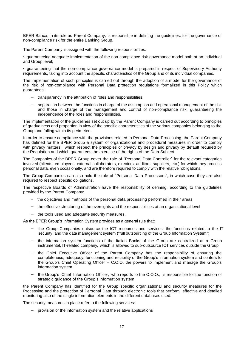BPER Banca, in its role as Parent Company, is responsible in defining the guidelines, for the governance of non-compliance risk for the entire Banking Group.

The Parent Company is assigned with the following responsibilities:

• guaranteeing adequate implementation of the non-compliance risk governance model both at an individual and Group level;

• guaranteeing that the non-compliance governance model is prepared in respect of Supervisory Authority requirements, taking into account the specific characteristics of the Group and of its individual companies.

The implementation of such principles is carried out through the adoption of a model for the governance of the risk of non-compliance with Personal Data protection regulations formalized in this Policy which guarantees:

- − transparency in the attribution of roles and responsibilities;
- − separation between the functions in charge of the assumption and operational management of the risk and those in charge of the management and control of non-compliance risk, guaranteeing the independence of the roles and responsibilities.

The implementation of the guidelines set out up by the Parent Company is carried out according to principles of gradualness and proportion in view of the specific characteristics of the various companies belonging to the Group and falling within its perimeter.

In order to ensure compliance with the provisions related to Personal Data Processing, the Parent Company has defined for the BPER Group a system of organizational and procedural measures in order to comply with privacy matters, which respect the principles of privacy by design and privacy by default required by the Regulation and which guarantees the exercise of the rights of the Data Subject

The Companies of the BPER Group cover the role of "Personal Data Controller" for the relevant categories involved (clients, employees, external collaborators, directors, auditors, suppliers, etc.) for which they process personal data, even occasionally, and are therefore required to comply with the relative obligations.

The Group Companies can also hold the role of "Personal Data Processors", in which case they are also required to respect specific obligations.

The respective Boards of Administration have the responsibility of defining, according to the guidelines provided by the Parent Company:

- − the objectives and methods of the personal data processing performed in their areas
- − the effective structuring of the oversights and the responsibilities at an organizational level
- − the tools used and adequate security measures.

As the BPER Group's Information System provides as a general rule that:

- the Group Companies outsource the ICT resources and services, the functions related to the IT security and the data management system ("full outsourcing of the Group Information System")
- − the information system functions of the Italian Banks of the Group are centralized at a Group instrumental, IT-related company, which is allowed to sub-outsource ICT services outside the Group
- − the Chief Executive Officer of the Parent Company has the responsibility of ensuring the completeness, adequacy, functioning and reliability of the Group's information system and confers to the Group's Chief Operating Officer – C.O.O. the powers to implement and manage the Group's information system
- the Group's Chief Information Officer, who reports to the C.O.O., is responsible for the function of strategic guidance of the Group's information system

the Parent Company has identified for the Group specific organizational and security measures for the Processing and the protection of Personal Data through electronic tools that perform effective and detailed monitoring also of the single information elements in the different databases used.

The security measures in place refer to the following services:

provision of the information system and the relative applications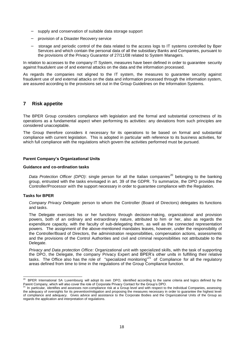- supply and conservation of suitable data storage support
- − provision of a Disaster Recovery service
- storage and periodic control of the data related to the access logs to IT systems controlled by Bper Services and which contain the personal data of all the subsidiary Banks and Companies, pursuant to the provisions of the Privacy Guarantor of 27/11/08 related to System Managers.

In relation to accesses to the company IT System, measures have been defined in order to guarantee security against fraudulent use of and external attacks on the data and the information processed.

As regards the companies not aligned to the IT system, the measures to guarantee security against fraudulent use of and external attacks on the data and information processed through the information system, are assured according to the provisions set out in the Group Guidelines on the Information Systems.

# **7 Risk appetite**

The BPER Group considers compliance with legislation and the formal and substantial correctness of its operations as a fundamental aspect when performing its activities: any deviations from such principles are considered unacceptable.

The Group therefore considers it necessary for its operations to be based on formal and substantial compliance with current legislation. This is adopted in particular with reference to its business activities, for which full compliance with the regulations which govern the activities performed must be pursued.

# **Parent Company's Organizational Units**

#### **Guidance and co-ordination tasks**

*Data Protection Officer (DPO)*: single person for all the Italian companies<sup>20</sup> belonging to the banking group, entrusted with the tasks envisaged in art. 39 of the GDPR. To summarize, the DPO provides the Controller/Processor with the support necessary in order to guarantee compliance with the Regulation.

# **Tasks for BPER**

*Company Privacy Delegate:* person to whom the Controller (Board of Directors) delegates its functions and tasks.

The Delegate exercises his or her functions through decision-making, organizational and provision powers, both of an ordinary and extraordinary nature, attributed to him or her, also as regards the expenditure capacity, with the faculty of sub-delegating them, as well as the connected representation powers. The assignment of the above-mentioned mandates leaves, however, under the responsibility of the Controller/Board of Directors, the administration responsibilities, compensation actions, assessments and the provisions of the Control Authorities and civil and criminal responsibilities not attributable to the Delegate.

*Privacy and Data protection Office:* Organizational unit with specialized skills, with the task of supporting the DPO, the Delegate, the company Privacy Expert and BPER's other units in fulfilling their relative tasks. The Office also has the role of "specialized monitoring"<sup>21</sup> of Compliance for all the regulatory areas defined from time to time in the regulations of the Group Compliance function.

<sup>&</sup>lt;sup>20</sup> BPER International SA Luxembourg will adopt its own DPO, identified according to the same criteria and logics defined by the Parent Company, which will also cover the role of Corporate Privacy Contact for the Group's DPO.<br><sup>21</sup> In particular, identifies and assesses non-compliance risk at a Group level and with respect to the individual Companies

the adequacy of oversights for its prevention/mitigation and proposing the measures necessary in order to guarantee the highest level of compliance and adequacy. Gives advice and assistance to the Corporate Bodies and the Organizational Units of the Group as regards the application and interpretation of regulations.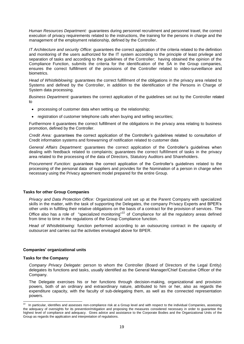*Human Resources Department:* guarantees during personnel recruitment and personnel travel, the correct execution of privacy requirements related to the instructions, the training for the persons in charge and the management of the employment relationship, defined by the Controller.

*IT Architecture and security Office:* guarantees the correct application of the criteria related to the definition and monitoring of the users authorized for the IT system according to the principle of least privilege and separation of tasks and according to the guidelines of the Controller; having obtained the opinion of the Compliance Function, submits the criteria for the identification of the SA in the Group companies, ensures the correct fulfillment of the provisions of the Controller related to video-surveillance and biometrics.

*Head of Whistleblowing:* guarantees the correct fulfillment of the obligations in the privacy area related to Systems and defined by the Controller, in addition to the identification of the Persons in Charge of System data processing.

*Business Department:* guarantees the correct application of the guidelines set out by the Controller related to

- processing of customer data when setting up the relationship;
- registration of customer telephone calls when buying and selling securities;

Furthermore it guarantees the correct fulfillment of the obligations in the privacy area relating to business promotion, defined by the Controller.

*Credit Area:* guarantees the correct application of the Controller's guidelines related to consultation of Credit information systems and forewarning of notification related to customer data

*General Affairs Department:* guarantees the correct application of the Controller's guidelines when dealing with feedback related to complaints; guarantees the correct fulfillment of tasks in the privacy area related to the processing of the data of Directors, Statutory Auditors and Shareholders.

*Procurement Function:* guarantees the correct application of the Controller's guidelines related to the processing of the personal data of suppliers and provides for the Nomination of a person in charge when necessary using the Privacy agreement model prepared for the entire Group.

# **Tasks for other Group Companies**

*Privacy and Data Protection Office:* Organizational unit set up at the Parent Company with specialized skills in the matter, with the task of supporting the Delegates, the company Privacy Experts and BPER's other units in fulfilling their relative obligations on the basis of a contract for the provision of services. The Office also has a role of "specialized monitoring"<sup>22</sup> of Compliance for all the regulatory areas defined from time to time in the regulations of the Group Compliance function.

*Head of Whistleblowing:* function performed according to an outsourcing contract in the capacity of outsourcer and carries out the activities envisaged above for BPER.

# **Companies' organizational units**

#### **Tasks for the Company**

*Company Privacy Delegate:* person to whom the Controller (Board of Directors of the Legal Entity) delegates its functions and tasks, usually identified as the General Manager/Chief Executive Officer of the Company.

The Delegate exercises his or her functions through decision-making, organizational and provision powers, both of an ordinary and extraordinary nature, attributed to him or her, also as regards the expenditure capacity, with the faculty of sub-delegating them, as well as the connected representation powers.

<sup>&</sup>lt;sup>22</sup> In particular, identifies and assesses non-compliance risk at a Group level and with respect to the individual Companies, assessing the adequacy of oversights for its prevention/mitigation and proposing the measures considered necessary in order to guarantee the highest level of compliance and adequacy. Gives advice and assistance to the Corporate Bodies and the Organizational Units of the Group as regards the application and interpretation of regulations.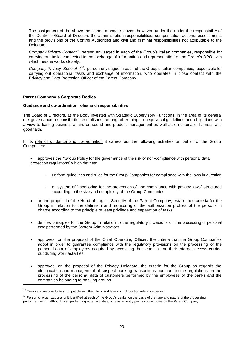The assignment of the above-mentioned mandate leaves, however, under the under the responsibility of the Controller/Board of Directors the administration responsibilities, compensation actions, assessments and the provisions of the Control Authorities and civil and criminal responsibilities not attributable to the Delegate.

*Company Privacy Contact*<sup>23</sup>: person envisaged in each of the Group's Italian companies, responsible for carrying out tasks connected to the exchange of information and representation of the Group's DPO, with which he/she works closely.

Company Privacy Specialist<sup>24</sup>: person envisaged in each of the Group's Italian companies, responsible for carrying out operational tasks and exchange of information, who operates in close contact with the Privacy and Data Protection Officer of the Parent Company.

# **Parent Company's Corporate Bodies**

# **Guidance and co-ordination roles and responsibilities**

The Board of Directors, as the Body invested with Strategic Supervisory Functions, in the area of its general risk governance responsibilities establishes, among other things, unequivocal guidelines and obligations with a view to basing business affairs on sound and prudent management as well as on criteria of fairness and good faith.

In its role of guidance and co-ordination it carries out the following activities on behalf of the Group Companies:

- approves the "Group Policy for the governance of the risk of non-compliance with personal data protection regulations" which defines:
	- uniform guidelines and rules for the Group Companies for compliance with the laws in question
	- a system of "monitoring for the prevention of non-compliance with privacy laws" structured according to the size and complexity of the Group Companies
- on the proposal of the Head of Logical Security of the Parent Company, establishes criteria for the Group in relation to the definition and monitoring of the authorization profiles of the persons in charge according to the principle of least privilege and separation of tasks
- defines principles for the Group in relation to the regulatory provisions on the processing of personal data performed by the System Administrators
- approves, on the proposal of the Chief Operating Officer, the criteria that the Group Companies adopt in order to guarantee compliance with the regulatory provisions on the processing of the personal data of employees acquired by accessing their e.mails and their internet access carried out during work activities
- approves, on the proposal of the Privacy Delegate, the criteria for the Group as regards the identification and management of suspect banking transactions pursuant to the regulations on the processing of the personal data of customers performed by the employees of the banks and the companies belonging to banking groups.

 $23$  Tasks and responsibilities compatible with the role of 2nd level control function reference person

 $24$  Person or organizational unit identified at each of the Group's banks, on the basis of the type and nature of the processing performed, which although also performing other activities, acts as an entry point / contact towards the Parent Company.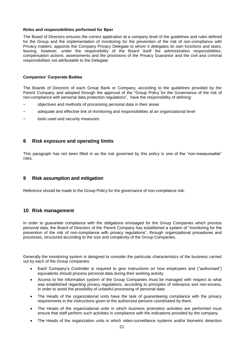# **Roles and responsibilities performed for Bper**

The Board of Directors ensures the correct application at a company level of the guidelines and rules defined for the Group and the implementation of monitoring for the prevention of the risk of non-compliance with Privacy matters; appoints the Company Privacy Delegate to whom it delegates its own functions and tasks, leaving, however, under the responsibility of the Board itself the administration responsibilities, compensation actions, assessments and the provisions of the Privacy Guarantor and the civil and criminal responsibilities not attributable to the Delegate.

# **Companies' Corporate Bodies**

The Boards of Directors of each Group Bank or Company, according to the guidelines provided by the Parent Company and adopted through the approval of the "Group Policy for the Governance of the risk of non-compliance with personal data protection regulations", have the responsibility of defining:

- − objectives and methods of processing personal data in their areas
- − adequate and effective link of monitoring and responsibilities at an organizational level
- tools used and security measures.

# **8 Risk exposure and operating limits**

This paragraph has not been filled in as the risk governed by this policy is one of the "non-measureable" risks.

# **9 Risk assumption and mitigation**

Reference should be made to the Group Policy for the governance of non-compliance risk.

# **10 Risk management**

In order to guarantee compliance with the obligations envisaged for the Group Companies which process personal data, the Board of Directors of the Parent Company has established a system of "monitoring for the prevention of the risk of non-compliance with privacy regulations", through organizational procedures and processes, structured according to the size and complexity of the Group Companies.

Generally the monitoring system is designed to consider the particular characteristics of the business carried out by each of the Group companies:

- Each Company's Controller is required to give instructions on how employees and ("authorized") equivalents should process personal data during their working activity
- Access to the information system of the Group Companies must be managed with respect to what was established regarding privacy regulations, according to principles of relevance and non-excess, in order to avoid the possibility of unlawful processing of personal data
- The Heads of the organizational units have the task of guaranteeing compliance with the privacy requirements in the instructions given to the authorized persons coordinated by them.
- The Heads of the organizational units in which business promotion activities are performed must ensure that staff perform such activities in compliance with the indications provided by the company.
- The Heads of the organization units in which video-surveillance systems and/or biometric detection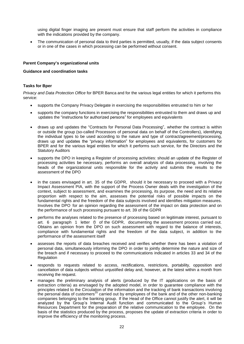using digital finger imaging are present must ensure that staff perform the activities in compliance with the indications provided by the company.

 The communication of personal data to third parties is permitted, usually, if the data subject consents or in one of the cases in which processing can be performed without consent.

# **Parent Company's organizational units**

# **Guidance and coordination tasks**

# **Tasks for Bper**

*Privacy and Data Protection Office* for BPER Banca and for the various legal entities for which it performs this service:

- supports the Company Privacy Delegate in exercising the responsibilities entrusted to him or her
- supports the company functions in exercising the responsibilities entrusted to them and draws up and updates the "instructions for authorized persons" for employees and equivalents
- draws up and updates the "Contracts for Personal Data Processing", whether the contract is within or outside the group (so-called Processors of personal data on behalf of the Controllers), identifying the individual types to be used according to the nature and type of contract/agreement/processing, draws up and updates the "privacy information" for employees and equivalents, for customers for BPER and for the various legal entities for which it performs such service, for the Directors and the Statutory Auditors
- supports the DPO in keeping a Register of processing activities: should an update of the Register of processing activities be necessary, performs an overall analysis of data processing, involving the heads of the organizational units responsible for the activity and submits the results to the assessment of the DPO
- in the cases envisaged in art. 35 of the GDPR, should it be necessary to proceed with a Privacy Impact Assessment PIA, with the support of the Process Owner deals with the investigation of the context, subject to assessment, and examines the processing, its purpose, the need and its relative proportion with respect to the aim, assesses the potential risks of possible impacts on the fundamental rights and the freedom of the data subjects involved and identifies mitigation measures. Involves the DPO for an opinion regarding the assessment of the impact on data protection and on the performance of such processing pursuant to art. 39 of the GDPR
- performs the analyses related to the presence of processing based on legitimate interest, pursuant to art. 6 paragraph 1 letter *f)* of the GDPR, documenting the assessment process carried out. Obtains an opinion from the DPO on such assessment with regard to the balance of interests, compliance with fundamental rights and the freedom of the data subject, in addition to the performance of the assessment itself
- assesses the reports of data breaches received and verifies whether there has been a violation of personal data, simultaneously informing the DPO in order to jointly determine the nature and size of the breach and if necessary to proceed to the communications indicated in articles 33 and 34 of the **Regulation**
- responds to requests related to access, rectifications, restrictions, portability, opposition and cancellation of data subjects without unjustified delay and, however, at the latest within a month from receiving the request.
- manages the preliminary analysis of alerts (produced by the IT applications on the basis of extraction criteria) as envisaged by the adopted model, in order to guarantee compliance with the principles related to the Circulation of the information and the tracking of bank transactions involving the personal data of customers<sup>25</sup> carried out by employees of the bank and of the other non-banking companies belonging to the banking group. If the Head of the Office cannot justify the alert, it will be analyzed by the Group's Internal Audit function and communicated to the Group's Human Resources Department for the preparation of the relative communication to the employee. On the basis of the statistics produced by the process, proposes the update of extraction criteria in order to improve the efficiency of the monitoring process.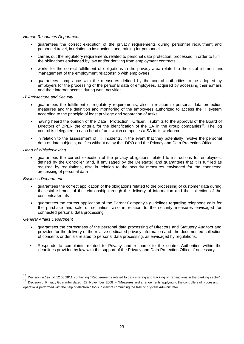# *Human Resources Department*

- guarantees the correct execution of the privacy requirements during personnel recruitment and personnel travel, in relation to instructions and training for personnel.
- carries out the regulatory requirements related to personal data protection, processed in order to fulfill the obligations envisaged by law and/or deriving from employment contracts
- works for the correct fulfillment of obligations in the privacy area related to the establishment and management of the employment relationship with employees
- guarantees compliance with the measures defined by the control authorities to be adopted by employers for the processing of the personal data of employees, acquired by accessing their e.mails and their internet access during work activities.

# *IT Architecture and Security*

- guarantees the fulfillment of regulatory requirements, also in relation to personal data protection measures and the definition and monitoring of the employees authorized to access the IT system according to the principle of least privilege and separation of tasks.
- having heard the opinion of the Data Protection Officer, submits to the approval of the Board of Directors of BPER the criteria for the identification of the SA in the group companies<sup>26</sup>. The log control is delegated to each head of unit which comprises a SA in its workforce.
- in relation to the assessment of IT incidents, in the event that they potentially involve the personal data of data subjects, notifies without delay the DPO and the Privacy and Data Protection Office

# *Head of Whistleblowing*

 guarantees the correct execution of the privacy obligations related to instructions for employees, defined by the Controller (and, if envisaged by the Delegate) and guarantees that it is fulfilled as required by regulations, also in relation to the security measures envisaged for the connected processing of personal data

# *Business Department*

- guarantees the correct application of the obligations related to the processing of customer data during the establishment of the relationship through the delivery of information and the collection of the consents/denials
- guarantees the correct application of the Parent Company's guidelines regarding telephone calls for the purchase and sale of securities, also in relation to the security measures envisaged for connected personal data processing

# *General Affairs Department*

- guarantees the correctness of the personal data processing of Directors and Statutory Auditors and provides for the delivery of the relative dedicated privacy information and the documented collection of consents or denials related to personal data processing, as envisaged by regulations.
- Responds to complaints related to Privacy and recourse to the control Authorities within the deadlines provided by law with the support of the Privacy and Data Protection Office, if necessary.

 $\overline{a^{25}}$  Decision n.192 of 12.05.2011 containing "Requirements related to data sharing and tracking of transactions in the banking sector".  $26$  Decision of Privacy Guarantor dated 27 November 2008 – "Measures and arrangements applying to the controllers of processing

operations performed with the help of electronic tools in view of committing the task of System Administrator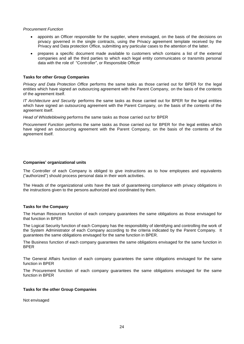# *Procurement Function*

- appoints an Officer responsible for the supplier, where envisaged, on the basis of the decisions on privacy governed in the single contracts, using the Privacy agreement template received by the Privacy and Data protection Office, submitting any particular cases to the attention of the latter.
- prepares a specific document made available to customers which contains a list of the external companies and all the third parties to which each legal entity communicates or transmits personal data with the role of "Controller", or Responsible Officer

# **Tasks for other Group Companies**

*Privacy and Data Protection Office* performs the same tasks as those carried out for BPER for the legal entities which have signed an outsourcing agreement with the Parent Company, on the basis of the contents of the agreement itself.

*IT Architecture and Security* performs the same tasks as those carried out for BPER for the legal entities which have signed an outsourcing agreement with the Parent Company, on the basis of the contents of the agreement itself.

*Head of Whistleblowing* performs the same tasks as those carried out for BPER

*Procurement Function* performs the same tasks as those carried out for BPER for the legal entities which have signed an outsourcing agreement with the Parent Company, on the basis of the contents of the agreement itself.

# **Companies' organizational units**

The Controller of each Company is obliged to give instructions as to how employees and equivalents ("authorized") should process personal data in their work activities.

The Heads of the organizational units have the task of guaranteeing compliance with privacy obligations in the instructions given to the persons authorized and coordinated by them.

# **Tasks for the Company**

The Human Resources function of each company guarantees the same obligations as those envisaged for that function in BPER

The Logical Security function of each Company has the responsibility of identifying and controlling the work of the System Administrator of each Company according to the criteria indicated by the Parent Company. It guarantees the same obligations envisaged for the same function in BPER.

The Business function of each company guarantees the same obligations envisaged for the same function in BPER

The General Affairs function of each company guarantees the same obligations envisaged for the same function in BPER

The Procurement function of each company guarantees the same obligations envisaged for the same function in BPER

# **Tasks for the other Group Companies**

Not envisaged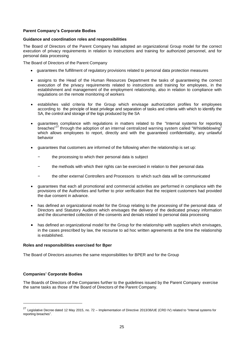# **Parent Company's Corporate Bodies**

# **Guidance and coordination roles and responsibilities**

The Board of Directors of the Parent Company has adopted an organizational Group model for the correct execution of privacy requirements in relation to instructions and training for authorized personnel, and for personal data processing

The Board of Directors of the Parent Company

- guarantees the fulfillment of regulatory provisions related to personal data protection measures
- assigns to the Head of the Human Resources Department the tasks of guaranteeing the correct execution of the privacy requirements related to instructions and training for employees, in the establishment and management of the employment relationship, also in relation to compliance with regulations on the remote monitoring of workers
- establishes valid criteria for the Group which envisage authorization profiles for employees according to the principle of least privilege and separation of tasks and criteria with which to identify the SA, the control and storage of the logs produced by the SA
- guarantees compliance with regulations in matters related to the "Internal systems for reporting breaches"<sup>27</sup> through the adoption of an internal centralized warning system called "Whistleblowing" which allows employees to report, directly and with the guaranteed confidentiality, any unlawful behavior
- guarantees that customers are informed of the following when the relationship is set up:
	- the processing to which their personal data is subject
	- the methods with which their rights can be exercised in relation to their personal data
	- the other external Controllers and Processors to which such data will be communicated
- guarantees that each all promotional and commercial activities are performed in compliance with the provisions of the Authorities and further to prior verification that the recipient customers had provided the due consent in advance.
- has defined an organizational model for the Group relating to the processing of the personal data of Directors and Statutory Auditors which envisages the delivery of the dedicated privacy information and the documented collection of the consents and denials related to personal data processing
- has defined an organizational model for the Group for the relationship with suppliers which envisages, in the cases prescribed by law, the recourse to ad hoc written agreements at the time the relationship is established.

#### **Roles and responsibilities exercised for Bper**

The Board of Directors assumes the same responsibilities for BPER and for the Group

# **Companies' Corporate Bodies**

The Boards of Directors of the Companies further to the guidelines issued by the Parent Company exercise the same tasks as those of the Board of Directors of the Parent Company.

<sup>&</sup>lt;sup>27</sup> Legislative Decree dated 12 May 2015, no. 72 – Implementation of Directive 2013/36/UE (CRD IV) related to "Internal systems for reporting breaches".